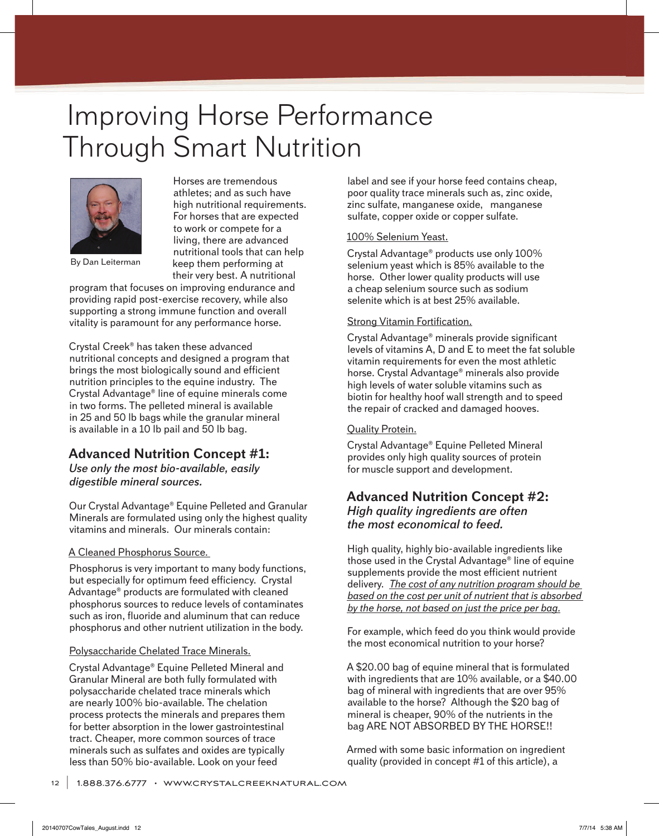# Improving Horse Performance Through Smart Nutrition



By Dan Leiterman

Horses are tremendous athletes; and as such have high nutritional requirements. For horses that are expected to work or compete for a living, there are advanced nutritional tools that can help keep them performing at their very best. A nutritional

program that focuses on improving endurance and providing rapid post-exercise recovery, while also supporting a strong immune function and overall vitality is paramount for any performance horse.

Crystal Creek® has taken these advanced nutritional concepts and designed a program that brings the most biologically sound and efficient nutrition principles to the equine industry. The Crystal Advantage® line of equine minerals come in two forms. The pelleted mineral is available in 25 and 50 lb bags while the granular mineral is available in a 10 lb pail and 50 lb bag.

## **Advanced Nutrition Concept #1:**

*Use only the most bio-available, easily digestible mineral sources.*

Our Crystal Advantage® Equine Pelleted and Granular Minerals are formulated using only the highest quality vitamins and minerals. Our minerals contain:

#### A Cleaned Phosphorus Source.

Phosphorus is very important to many body functions, but especially for optimum feed efficiency. Crystal Advantage® products are formulated with cleaned phosphorus sources to reduce levels of contaminates such as iron, fluoride and aluminum that can reduce phosphorus and other nutrient utilization in the body.

#### Polysaccharide Chelated Trace Minerals.

Crystal Advantage® Equine Pelleted Mineral and Granular Mineral are both fully formulated with polysaccharide chelated trace minerals which are nearly 100% bio-available. The chelation process protects the minerals and prepares them for better absorption in the lower gastrointestinal tract. Cheaper, more common sources of trace minerals such as sulfates and oxides are typically less than 50% bio-available. Look on your feed

label and see if your horse feed contains cheap, poor quality trace minerals such as, zinc oxide, zinc sulfate, manganese oxide, manganese sulfate, copper oxide or copper sulfate.

#### 100% Selenium Yeast.

Crystal Advantage® products use only 100% selenium yeast which is 85% available to the horse. Other lower quality products will use a cheap selenium source such as sodium selenite which is at best 25% available.

#### Strong Vitamin Fortification.

Crystal Advantage® minerals provide significant levels of vitamins A, D and E to meet the fat soluble vitamin requirements for even the most athletic horse. Crystal Advantage® minerals also provide high levels of water soluble vitamins such as biotin for healthy hoof wall strength and to speed the repair of cracked and damaged hooves.

### Quality Protein.

Crystal Advantage® Equine Pelleted Mineral provides only high quality sources of protein for muscle support and development.

## **Advanced Nutrition Concept #2:** *High quality ingredients are often the most economical to feed.*

High quality, highly bio-available ingredients like those used in the Crystal Advantage® line of equine supplements provide the most efficient nutrient delivery. *The cost of any nutrition program should be based on the cost per unit of nutrient that is absorbed by the horse, not based on just the price per bag.*

For example, which feed do you think would provide the most economical nutrition to your horse?

A \$20.00 bag of equine mineral that is formulated with ingredients that are 10% available, or a \$40.00 bag of mineral with ingredients that are over 95% available to the horse? Although the \$20 bag of mineral is cheaper, 90% of the nutrients in the bag ARE NOT ABSORBED BY THE HORSE!!

Armed with some basic information on ingredient quality (provided in concept #1 of this article), a